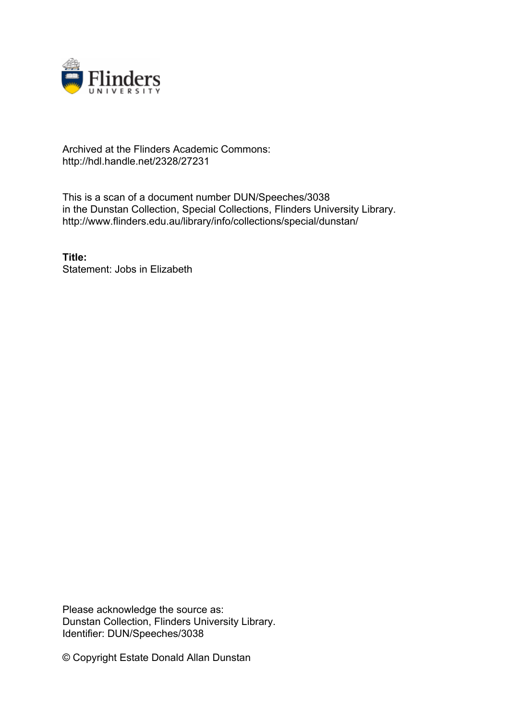

## Archived at the Flinders Academic Commons: http://hdl.handle.net/2328/27231

This is a scan of a document number DUN/Speeches/3038 in the Dunstan Collection, Special Collections, Flinders University Library. http://www.flinders.edu.au/library/info/collections/special/dunstan/

**Title:** Statement: Jobs in Elizabeth

Please acknowledge the source as: Dunstan Collection, Flinders University Library. Identifier: DUN/Speeches/3038

© Copyright Estate Donald Allan Dunstan